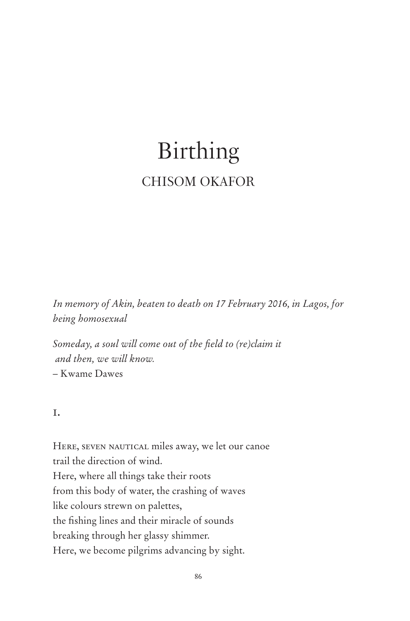# Birthing CHISOM OKAFOR

*In memory of Akin, beaten to death on 17 February 2016, in Lagos, for being homosexual*

*Someday, a soul will come out of the field to (re)claim it and then, we will know.*  – Kwame Dawes

### i.

HERE, SEVEN NAUTICAL miles away, we let our canoe trail the direction of wind. Here, where all things take their roots from this body of water, the crashing of waves like colours strewn on palettes, the fishing lines and their miracle of sounds breaking through her glassy shimmer. Here, we become pilgrims advancing by sight.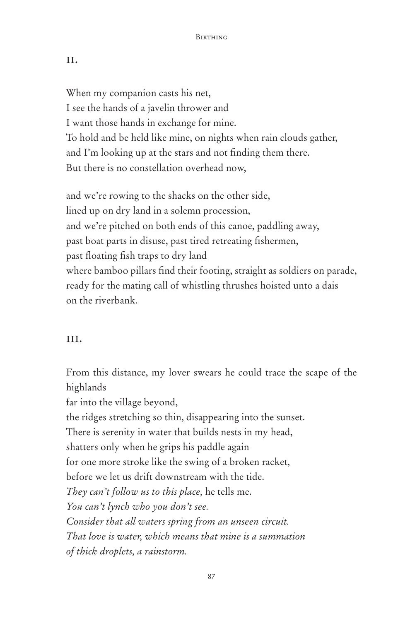#### ii.

When my companion casts his net, I see the hands of a javelin thrower and I want those hands in exchange for mine. To hold and be held like mine, on nights when rain clouds gather, and I'm looking up at the stars and not finding them there. But there is no constellation overhead now,

and we're rowing to the shacks on the other side, lined up on dry land in a solemn procession, and we're pitched on both ends of this canoe, paddling away, past boat parts in disuse, past tired retreating fishermen, past floating fish traps to dry land where bamboo pillars find their footing, straight as soldiers on parade, ready for the mating call of whistling thrushes hoisted unto a dais on the riverbank.

## III.

From this distance, my lover swears he could trace the scape of the highlands far into the village beyond, the ridges stretching so thin, disappearing into the sunset. There is serenity in water that builds nests in my head, shatters only when he grips his paddle again for one more stroke like the swing of a broken racket, before we let us drift downstream with the tide. *They can't follow us to this place,* he tells me. *You can't lynch who you don't see. Consider that all waters spring from an unseen circuit. That love is water, which means that mine is a summation of thick droplets, a rainstorm.*